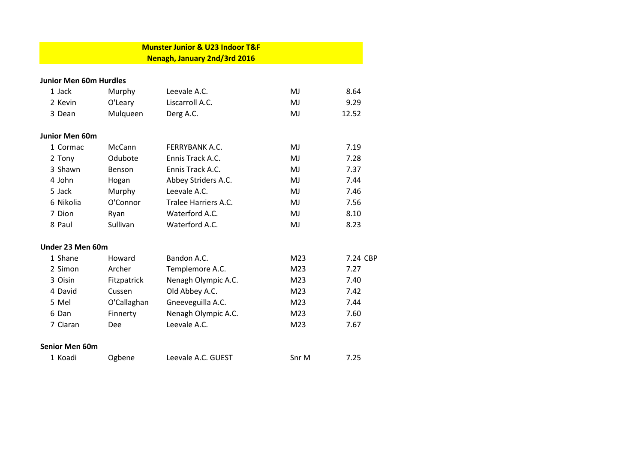|                               |             | <b>Munster Junior &amp; U23 Indoor T&amp;F</b> |                 |          |
|-------------------------------|-------------|------------------------------------------------|-----------------|----------|
|                               |             | Nenagh, January 2nd/3rd 2016                   |                 |          |
| <b>Junior Men 60m Hurdles</b> |             |                                                |                 |          |
|                               |             |                                                |                 |          |
| 1 Jack                        | Murphy      | Leevale A.C.                                   | MJ              | 8.64     |
| 2 Kevin                       | O'Leary     | Liscarroll A.C.                                | MJ              | 9.29     |
| 3 Dean                        | Mulqueen    | Derg A.C.                                      | MJ              | 12.52    |
| <b>Junior Men 60m</b>         |             |                                                |                 |          |
| 1 Cormac                      | McCann      | <b>FERRYBANK A.C.</b>                          | MJ              | 7.19     |
| 2 Tony                        | Odubote     | Ennis Track A.C.                               | MJ              | 7.28     |
| 3 Shawn                       | Benson      | Ennis Track A.C.                               | MJ              | 7.37     |
| 4 John                        | Hogan       | Abbey Striders A.C.                            | MJ              | 7.44     |
| 5 Jack                        | Murphy      | Leevale A.C.                                   | MJ              | 7.46     |
| 6 Nikolia                     | O'Connor    | Tralee Harriers A.C.                           | MJ              | 7.56     |
| 7 Dion                        | Ryan        | Waterford A.C.                                 | MJ              | 8.10     |
| 8 Paul                        | Sullivan    | Waterford A.C.                                 | MJ              | 8.23     |
| Under 23 Men 60m              |             |                                                |                 |          |
| 1 Shane                       | Howard      | Bandon A.C.                                    | M23             | 7.24 CBP |
| 2 Simon                       | Archer      | Templemore A.C.                                | M <sub>23</sub> | 7.27     |
| 3 Oisin                       | Fitzpatrick | Nenagh Olympic A.C.                            | M23             | 7.40     |
| 4 David                       | Cussen      | Old Abbey A.C.                                 | M23             | 7.42     |
| 5 Mel                         | O'Callaghan | Gneeveguilla A.C.                              | M <sub>23</sub> | 7.44     |
| 6 Dan                         | Finnerty    | Nenagh Olympic A.C.                            | M23             | 7.60     |
| 7 Ciaran                      | Dee         | Leevale A.C.                                   | M23             | 7.67     |
| <b>Senior Men 60m</b>         |             |                                                |                 |          |
| 1 Koadi                       | Ogbene      | Leevale A.C. GUEST                             | Snr M           | 7.25     |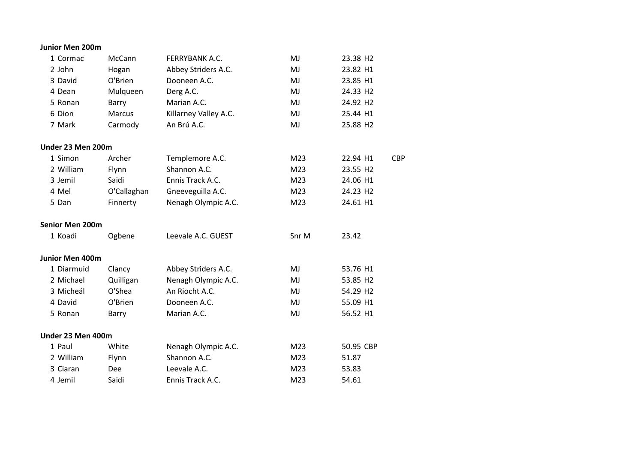| 1 Cormac               | McCann      | FERRYBANK A.C.        | MJ    | 23.38 H2             |            |
|------------------------|-------------|-----------------------|-------|----------------------|------------|
| 2 John                 | Hogan       | Abbey Striders A.C.   | MJ    | 23.82 H1             |            |
| 3 David                | O'Brien     | Dooneen A.C.          | MJ    | 23.85 H1             |            |
| 4 Dean                 | Mulqueen    | Derg A.C.             | MJ    | 24.33 H2             |            |
| 5 Ronan                | Barry       | Marian A.C.           | MJ    | 24.92 H <sub>2</sub> |            |
| 6 Dion                 | Marcus      | Killarney Valley A.C. | MJ    | 25.44 H1             |            |
| 7 Mark                 | Carmody     | An Brú A.C.           | MJ    | 25.88 H2             |            |
| Under 23 Men 200m      |             |                       |       |                      |            |
| 1 Simon                | Archer      | Templemore A.C.       | M23   | 22.94 H1             | <b>CBP</b> |
| 2 William              | Flynn       | Shannon A.C.          | M23   | 23.55 H2             |            |
| 3 Jemil                | Saidi       | Ennis Track A.C.      | M23   | 24.06 H1             |            |
| 4 Mel                  | O'Callaghan | Gneeveguilla A.C.     | M23   | 24.23 H <sub>2</sub> |            |
| 5 Dan                  | Finnerty    | Nenagh Olympic A.C.   | M23   | 24.61 H1             |            |
| <b>Senior Men 200m</b> |             |                       |       |                      |            |
| 1 Koadi                | Ogbene      | Leevale A.C. GUEST    | Snr M | 23.42                |            |
| Junior Men 400m        |             |                       |       |                      |            |
| 1 Diarmuid             | Clancy      | Abbey Striders A.C.   | MJ    | 53.76 H1             |            |
| 2 Michael              | Quilligan   | Nenagh Olympic A.C.   | MJ    | 53.85 H2             |            |
| 3 Micheál              | O'Shea      | An Riocht A.C.        | MJ    | 54.29 H2             |            |
| 4 David                | O'Brien     | Dooneen A.C.          | MJ    | 55.09 H1             |            |
| 5 Ronan                | Barry       | Marian A.C.           | MJ    | 56.52 H1             |            |
| Under 23 Men 400m      |             |                       |       |                      |            |
| 1 Paul                 | White       | Nenagh Olympic A.C.   | M23   | 50.95 CBP            |            |
| 2 William              | Flynn       | Shannon A.C.          | M23   | 51.87                |            |
| 3 Ciaran               | <b>Dee</b>  | Leevale A.C.          | M23   | 53.83                |            |
| 4 Jemil                | Saidi       | Ennis Track A.C.      | M23   | 54.61                |            |
|                        |             |                       |       |                      |            |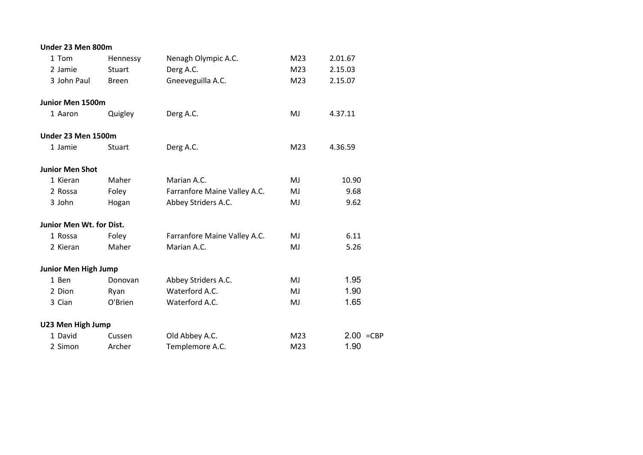| Under 23 Men 800m           |                              |     |              |
|-----------------------------|------------------------------|-----|--------------|
| Hennessy                    | Nenagh Olympic A.C.          | M23 | 2.01.67      |
| Stuart                      | Derg A.C.                    | M23 | 2.15.03      |
| <b>Breen</b>                | Gneeveguilla A.C.            | M23 | 2.15.07      |
| <b>Junior Men 1500m</b>     |                              |     |              |
| Quigley                     | Derg A.C.                    | MJ  | 4.37.11      |
| <b>Under 23 Men 1500m</b>   |                              |     |              |
| Stuart                      | Derg A.C.                    | M23 | 4.36.59      |
| <b>Junior Men Shot</b>      |                              |     |              |
| Maher                       | Marian A.C.                  | MJ  | 10.90        |
| Foley                       | Farranfore Maine Valley A.C. | MJ  | 9.68         |
| Hogan                       | Abbey Striders A.C.          | MJ  | 9.62         |
| Junior Men Wt. for Dist.    |                              |     |              |
| Foley                       | Farranfore Maine Valley A.C. | MJ  | 6.11         |
| Maher                       | Marian A.C.                  | MJ  | 5.26         |
| <b>Junior Men High Jump</b> |                              |     |              |
| Donovan                     | Abbey Striders A.C.          | MJ  | 1.95         |
| Ryan                        | Waterford A.C.               | MJ  | 1.90         |
| O'Brien                     | Waterford A.C.               | MJ  | 1.65         |
| U23 Men High Jump           |                              |     |              |
| Cussen                      | Old Abbey A.C.               | M23 | $2.00 = CBP$ |
| Archer                      | Templemore A.C.              | M23 | 1.90         |
|                             |                              |     |              |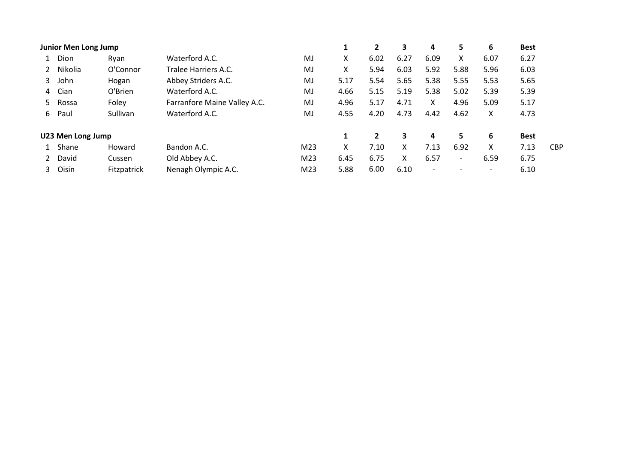|   | Junior Men Long Jump |                    |                              |                 |      | 2              | 3    | 4                        | 5.                       | 6                        | <b>Best</b> |            |
|---|----------------------|--------------------|------------------------------|-----------------|------|----------------|------|--------------------------|--------------------------|--------------------------|-------------|------------|
|   | Dion                 | Ryan               | Waterford A.C.               | MJ              | X    | 6.02           | 6.27 | 6.09                     | X.                       | 6.07                     | 6.27        |            |
|   | Nikolia              | O'Connor           | Tralee Harriers A.C.         | MJ              | Χ    | 5.94           | 6.03 | 5.92                     | 5.88                     | 5.96                     | 6.03        |            |
| 3 | John                 | Hogan              | Abbey Striders A.C.          | MJ              | 5.17 | 5.54           | 5.65 | 5.38                     | 5.55                     | 5.53                     | 5.65        |            |
|   | 4 Cian               | O'Brien            | Waterford A.C.               | MJ              | 4.66 | 5.15           | 5.19 | 5.38                     | 5.02                     | 5.39                     | 5.39        |            |
|   | 5 Rossa              | Foley              | Farranfore Maine Valley A.C. | MJ              | 4.96 | 5.17           | 4.71 | X.                       | 4.96                     | 5.09                     | 5.17        |            |
| 6 | Paul                 | Sullivan           | Waterford A.C.               | MJ              | 4.55 | 4.20           | 4.73 | 4.42                     | 4.62                     | X                        | 4.73        |            |
|   | U23 Men Long Jump    |                    |                              |                 | 1    | $\overline{2}$ | 3    | 4                        | 5.                       | 6                        | <b>Best</b> |            |
|   | Shane                | Howard             | Bandon A.C.                  | M23             | X    | 7.10           | X    | 7.13                     | 6.92                     | X                        | 7.13        | <b>CBP</b> |
|   | 2 David              | Cussen             | Old Abbey A.C.               | M23             | 6.45 | 6.75           | x    | 6.57                     | $\overline{\phantom{0}}$ | 6.59                     | 6.75        |            |
|   | 3 Oisin              | <b>Fitzpatrick</b> | Nenagh Olympic A.C.          | M <sub>23</sub> | 5.88 | 6.00           | 6.10 | $\overline{\phantom{a}}$ |                          | $\overline{\phantom{a}}$ | 6.10        |            |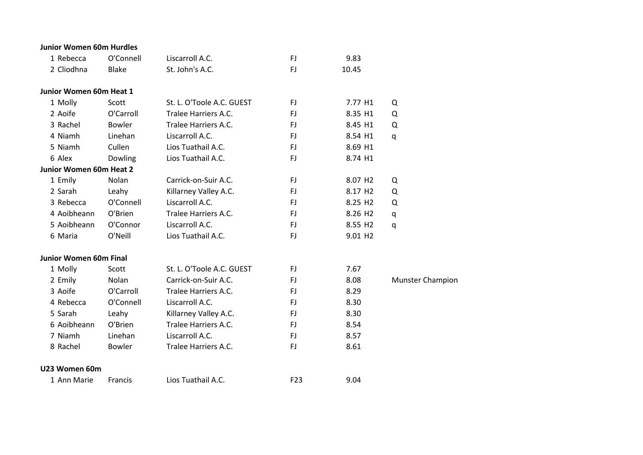| <b>Junior Women 60m Hurdles</b> |               |                           |     |                     |                         |
|---------------------------------|---------------|---------------------------|-----|---------------------|-------------------------|
| 1 Rebecca                       | O'Connell     | Liscarroll A.C.           | FJ  | 9.83                |                         |
| 2 Cliodhna                      | <b>Blake</b>  | St. John's A.C.           | FJ  | 10.45               |                         |
| Junior Women 60m Heat 1         |               |                           |     |                     |                         |
| 1 Molly                         | Scott         | St. L. O'Toole A.C. GUEST | FJ. | 7.77 H1             | Q                       |
| 2 Aoife                         | O'Carroll     | Tralee Harriers A.C.      | FJ  | 8.35 H1             | Q                       |
| 3 Rachel                        | <b>Bowler</b> | Tralee Harriers A.C.      | FJ. | 8.45 H1             | Q                       |
| 4 Niamh                         | Linehan       | Liscarroll A.C.           | FJ. | 8.54 H1             | q                       |
| 5 Niamh                         | Cullen        | Lios Tuathail A.C.        | FJ. | 8.69 H1             |                         |
| 6 Alex                          | Dowling       | Lios Tuathail A.C.        | FJ  | 8.74 H1             |                         |
| Junior Women 60m Heat 2         |               |                           |     |                     |                         |
| 1 Emily                         | Nolan         | Carrick-on-Suir A.C.      | FJ. | 8.07 H <sub>2</sub> | Q                       |
| 2 Sarah                         | Leahy         | Killarney Valley A.C.     | FJ. | 8.17 H <sub>2</sub> | Q                       |
| 3 Rebecca                       | O'Connell     | Liscarroll A.C.           | FJ. | 8.25 H <sub>2</sub> | Q                       |
| 4 Aoibheann                     | O'Brien       | Tralee Harriers A.C.      | FJ  | 8.26 H <sub>2</sub> | q                       |
| 5 Aoibheann                     | O'Connor      | Liscarroll A.C.           | FJ. | 8.55 H <sub>2</sub> | q                       |
| 6 Maria                         | O'Neill       | Lios Tuathail A.C.        | FJ  | 9.01 H <sub>2</sub> |                         |
| <b>Junior Women 60m Final</b>   |               |                           |     |                     |                         |
| 1 Molly                         | Scott         | St. L. O'Toole A.C. GUEST | FJ. | 7.67                |                         |
| 2 Emily                         | Nolan         | Carrick-on-Suir A.C.      | FJ  | 8.08                | <b>Munster Champion</b> |
| 3 Aoife                         | O'Carroll     | Tralee Harriers A.C.      | FJ  | 8.29                |                         |
| 4 Rebecca                       | O'Connell     | Liscarroll A.C.           | FJ. | 8.30                |                         |
| 5 Sarah                         | Leahy         | Killarney Valley A.C.     | FJ  | 8.30                |                         |
| 6 Aoibheann                     | O'Brien       | Tralee Harriers A.C.      | FJ  | 8.54                |                         |
| 7 Niamh                         | Linehan       | Liscarroll A.C.           | FJ. | 8.57                |                         |
| 8 Rachel                        | <b>Bowler</b> | Tralee Harriers A.C.      | FJ  | 8.61                |                         |
| U23 Women 60m                   |               |                           |     |                     |                         |
| 1 Ann Marie                     | Francis       | Lios Tuathail A.C.        | F23 | 9.04                |                         |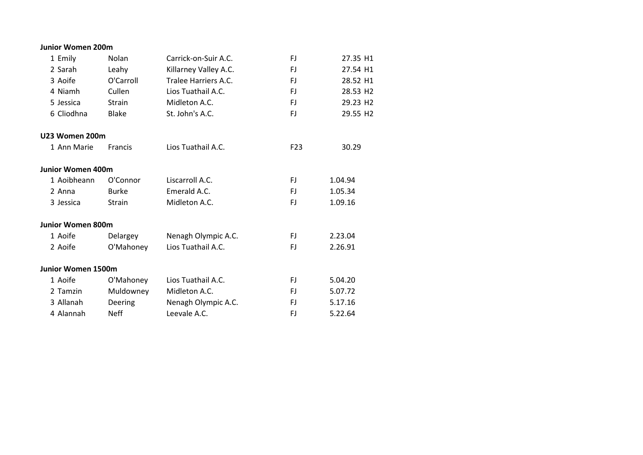| <b>Junior Women 200m</b>  |               |                       |                 |                      |
|---------------------------|---------------|-----------------------|-----------------|----------------------|
| 1 Emily                   | Nolan         | Carrick-on-Suir A.C.  | FJ.             | 27.35 H1             |
| 2 Sarah                   | Leahy         | Killarney Valley A.C. | FJ.             | 27.54 H1             |
| 3 Aoife                   | O'Carroll     | Tralee Harriers A.C.  | FJ.             | 28.52 H1             |
| 4 Niamh                   | Cullen        | Lios Tuathail A.C.    | FJ.             | 28.53 H2             |
| 5 Jessica                 | Strain        | Midleton A.C.         | FJ.             | 29.23 H2             |
| 6 Cliodhna                | <b>Blake</b>  | St. John's A.C.       | FJ.             | 29.55 H <sub>2</sub> |
| U23 Women 200m            |               |                       |                 |                      |
| 1 Ann Marie               | Francis       | Lios Tuathail A.C.    | F <sub>23</sub> | 30.29                |
| <b>Junior Women 400m</b>  |               |                       |                 |                      |
| 1 Aoibheann               | O'Connor      | Liscarroll A.C.       | FJ.             | 1.04.94              |
| 2 Anna                    | <b>Burke</b>  | Emerald A.C.          | FJ.             | 1.05.34              |
| 3 Jessica                 | <b>Strain</b> | Midleton A.C.         | FJ.             | 1.09.16              |
| <b>Junior Women 800m</b>  |               |                       |                 |                      |
| 1 Aoife                   | Delargey      | Nenagh Olympic A.C.   | FJ.             | 2.23.04              |
| 2 Aoife                   | O'Mahoney     | Lios Tuathail A.C.    | FJ              | 2.26.91              |
| <b>Junior Women 1500m</b> |               |                       |                 |                      |
| 1 Aoife                   | O'Mahoney     | Lios Tuathail A.C.    | FJ.             | 5.04.20              |
| 2 Tamzin                  | Muldowney     | Midleton A.C.         | FJ.             | 5.07.72              |
| 3 Allanah                 | Deering       | Nenagh Olympic A.C.   | FJ              | 5.17.16              |
| 4 Alannah                 | <b>Neff</b>   | Leevale A.C.          | FJ              | 5.22.64              |